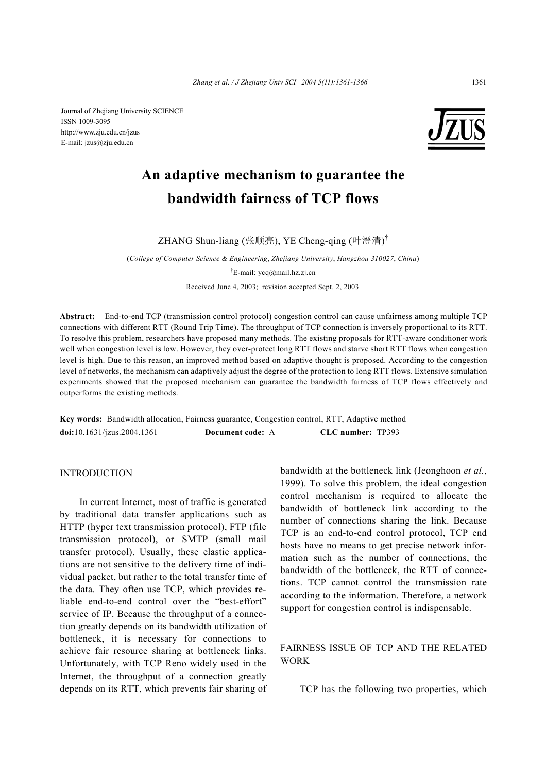Journal of Zhejiang University SCIENCE ISSN 1009-3095 http://www.zju.edu.cn/jzus E-mail: jzus@zju.edu.cn



# **An adaptive mechanism to guarantee the bandwidth fairness of TCP flows**

ZHANG Shun-liang (张顺亮), YE Cheng-qing (叶澄清) †

(*College of Computer Science & Engineering*, *Zhejiang University*, *Hangzhou 310027*, *China*) † E-mail: ycq@mail.hz.zj.cn Received June 4, 2003; revision accepted Sept. 2, 2003

**Abstract:** End-to-end TCP (transmission control protocol) congestion control can cause unfairness among multiple TCP connections with different RTT (Round Trip Time). The throughput of TCP connection is inversely proportional to its RTT. To resolve this problem, researchers have proposed many methods. The existing proposals for RTT-aware conditioner work well when congestion level is low. However, they over-protect long RTT flows and starve short RTT flows when congestion level is high. Due to this reason, an improved method based on adaptive thought is proposed. According to the congestion level of networks, the mechanism can adaptively adjust the degree of the protection to long RTT flows. Extensive simulation experiments showed that the proposed mechanism can guarantee the bandwidth fairness of TCP flows effectively and outperforms the existing methods.

**Key words:** Bandwidth allocation, Fairness guarantee, Congestion control, RTT, Adaptive method **doi:**10.1631/jzus.2004.1361 **Document code:** A **CLC number:** TP393

### INTRODUCTION

In current Internet, most of traffic is generated by traditional data transfer applications such as HTTP (hyper text transmission protocol), FTP (file transmission protocol), or SMTP (small mail transfer protocol). Usually, these elastic applications are not sensitive to the delivery time of individual packet, but rather to the total transfer time of the data. They often use TCP, which provides reliable end-to-end control over the "best-effort" service of IP. Because the throughput of a connection greatly depends on its bandwidth utilization of bottleneck, it is necessary for connections to achieve fair resource sharing at bottleneck links. Unfortunately, with TCP Reno widely used in the Internet, the throughput of a connection greatly depends on its RTT, which prevents fair sharing of bandwidth at the bottleneck link (Jeonghoon *et al.*, 1999). To solve this problem, the ideal congestion control mechanism is required to allocate the bandwidth of bottleneck link according to the number of connections sharing the link. Because TCP is an end-to-end control protocol, TCP end hosts have no means to get precise network information such as the number of connections, the bandwidth of the bottleneck, the RTT of connections. TCP cannot control the transmission rate according to the information. Therefore, a network support for congestion control is indispensable.

# FAIRNESS ISSUE OF TCP AND THE RELATED WORK

TCP has the following two properties, which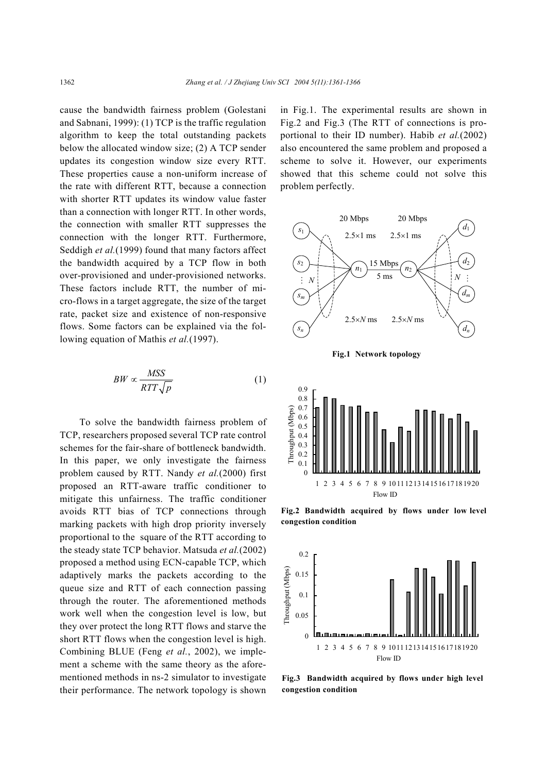cause the bandwidth fairness problem (Golestani and Sabnani, 1999): (1) TCP is the traffic regulation algorithm to keep the total outstanding packets below the allocated window size; (2) A TCP sender updates its congestion window size every RTT. These properties cause a non-uniform increase of the rate with different RTT, because a connection with shorter RTT updates its window value faster than a connection with longer RTT. In other words, the connection with smaller RTT suppresses the connection with the longer RTT. Furthermore, Seddigh *et al.*(1999) found that many factors affect the bandwidth acquired by a TCP flow in both over-provisioned and under-provisioned networks. These factors include RTT, the number of micro-flows in a target aggregate, the size of the target rate, packet size and existence of non-responsive flows. Some factors can be explained via the following equation of Mathis *et al.*(1997).

$$
BW \propto \frac{MSS}{RTT\sqrt{p}}\tag{1}
$$

To solve the bandwidth fairness problem of TCP, researchers proposed several TCP rate control schemes for the fair-share of bottleneck bandwidth. In this paper, we only investigate the fairness problem caused by RTT. Nandy *et al.*(2000) first proposed an RTT-aware traffic conditioner to mitigate this unfairness. The traffic conditioner avoids RTT bias of TCP connections through marking packets with high drop priority inversely proportional to the square of the RTT according to the steady state TCP behavior. Matsuda *et al.*(2002) proposed a method using ECN-capable TCP, which adaptively marks the packets according to the queue size and RTT of each connection passing through the router. The aforementioned methods work well when the congestion level is low, but they over protect the long RTT flows and starve the short RTT flows when the congestion level is high. Combining BLUE (Feng *et al.*, 2002), we implement a scheme with the same theory as the aforementioned methods in ns-2 simulator to investigate their performance. The network topology is shown in Fig.1. The experimental results are shown in Fig.2 and Fig.3 (The RTT of connections is proportional to their ID number). Habib *et al.*(2002) also encountered the same problem and proposed a scheme to solve it. However, our experiments showed that this scheme could not solve this problem perfectly.



**Fig.2 Bandwidth acquired by flows under low level congestion condition**



**Fig.3 Bandwidth acquired by flows under high level congestion condition**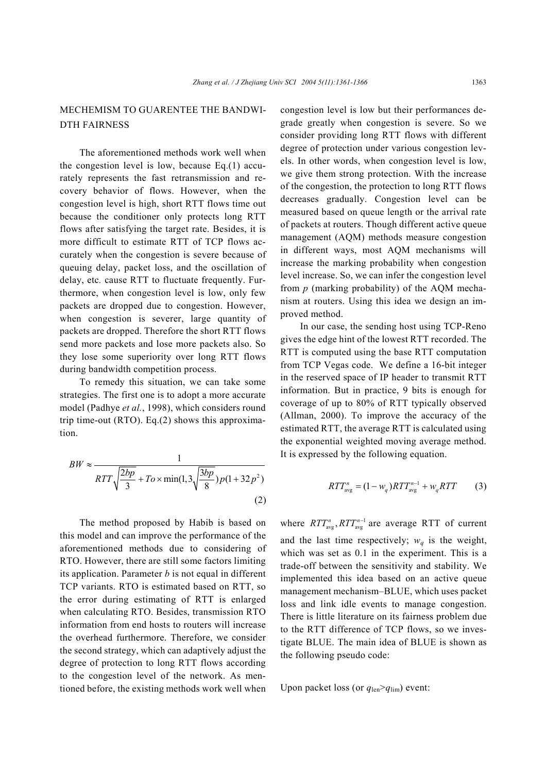# MECHEMISM TO GUARENTEE THE BANDWI-DTH FAIRNESS

The aforementioned methods work well when the congestion level is low, because Eq.(1) accurately represents the fast retransmission and recovery behavior of flows. However, when the congestion level is high, short RTT flows time out because the conditioner only protects long RTT flows after satisfying the target rate. Besides, it is more difficult to estimate RTT of TCP flows accurately when the congestion is severe because of queuing delay, packet loss, and the oscillation of delay, etc*.* cause RTT to fluctuate frequently. Furthermore, when congestion level is low, only few packets are dropped due to congestion. However, when congestion is severer, large quantity of packets are dropped. Therefore the short RTT flows send more packets and lose more packets also. So they lose some superiority over long RTT flows during bandwidth competition process.

To remedy this situation, we can take some strategies. The first one is to adopt a more accurate model (Padhye *et al.*, 1998), which considers round trip time-out (RTO). Eq.(2) shows this approximation.

$$
BW \approx \frac{1}{RTT\sqrt{\frac{2bp}{3}} + To \times \min(1, 3\sqrt{\frac{3bp}{8}})p(1+32p^2)}
$$
\n(2)

The method proposed by Habib is based on this model and can improve the performance of the aforementioned methods due to considering of RTO. However, there are still some factors limiting its application. Parameter *b* is not equal in different TCP variants. RTO is estimated based on RTT, so the error during estimating of RTT is enlarged when calculating RTO. Besides, transmission RTO information from end hosts to routers will increase the overhead furthermore. Therefore, we consider the second strategy, which can adaptively adjust the degree of protection to long RTT flows according to the congestion level of the network. As mentioned before, the existing methods work well when

congestion level is low but their performances degrade greatly when congestion is severe. So we consider providing long RTT flows with different degree of protection under various congestion levels. In other words, when congestion level is low, we give them strong protection. With the increase of the congestion, the protection to long RTT flows decreases gradually. Congestion level can be measured based on queue length or the arrival rate of packets at routers. Though different active queue management (AQM) methods measure congestion in different ways, most AQM mechanisms will increase the marking probability when congestion level increase. So, we can infer the congestion level from *p* (marking probability) of the AQM mechanism at routers. Using this idea we design an improved method.

In our case, the sending host using TCP-Reno gives the edge hint of the lowest RTT recorded. The RTT is computed using the base RTT computation from TCP Vegas code. We define a 16-bit integer in the reserved space of IP header to transmit RTT information. But in practice, 9 bits is enough for coverage of up to 80% of RTT typically observed (Allman, 2000). To improve the accuracy of the estimated RTT, the average RTT is calculated using the exponential weighted moving average method. It is expressed by the following equation.

$$
RTT_{\text{avg}}^{n} = (1 - w_q)RTT_{\text{avg}}^{n-1} + w_qRTT \tag{3}
$$

where  $RTT_{avg}^{n}$ ,  $RTT_{avg}^{n-1}$  are average RTT of current and the last time respectively;  $w_q$  is the weight, which was set as  $0.1$  in the experiment. This is a trade-off between the sensitivity and stability. We implemented this idea based on an active queue management mechanism–BLUE, which uses packet loss and link idle events to manage congestion. There is little literature on its fairness problem due to the RTT difference of TCP flows, so we investigate BLUE. The main idea of BLUE is shown as the following pseudo code:

Upon packet loss (or  $q_{\text{len}} > q_{\text{lim}}$ ) event: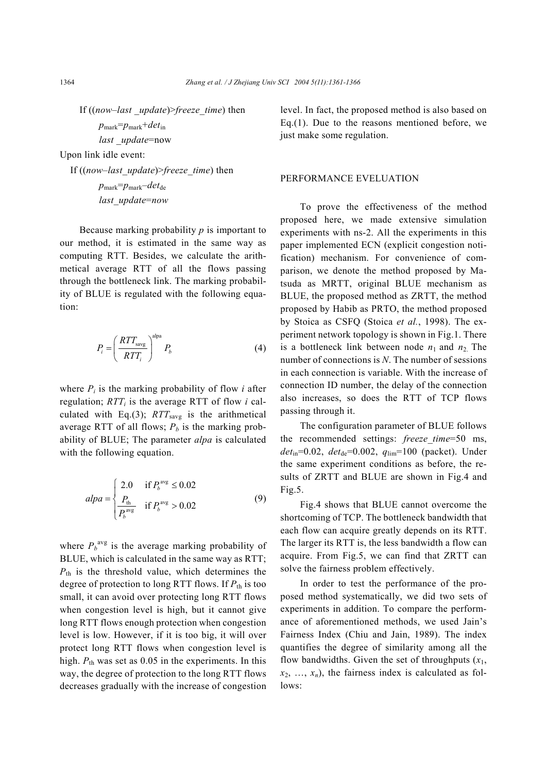If ((*now*–*last \_update*)>*freeze\_time*) then *p*mark=*p*mark+*det*in *last \_update*=now

Upon link idle event:

 If ((*now*–*last\_update*)>*freeze\_time*) then *p*mark=*p*mark–*det*de *last\_update*=*now*

Because marking probability *p* is important to our method, it is estimated in the same way as computing RTT. Besides, we calculate the arithmetical average RTT of all the flows passing through the bottleneck link. The marking probability of BLUE is regulated with the following equation:

$$
P_i = \left(\frac{RTT_{\text{savg}}}{RTT_i}\right)^{\text{alpa}} P_b \tag{4}
$$

where  $P_i$  is the marking probability of flow *i* after regulation;  $RTT_i$  is the average RTT of flow *i* calculated with Eq.(3);  $RTT<sub>savg</sub>$  is the arithmetical average RTT of all flows;  $P<sub>b</sub>$  is the marking probability of BLUE; The parameter *alpa* is calculated with the following equation.

$$
alpa = \begin{cases} 2.0 & \text{if } P_b^{\text{avg}} \le 0.02\\ \frac{P_{\text{th}}}{P_b^{\text{avg}}} & \text{if } P_b^{\text{avg}} > 0.02 \end{cases}
$$
(9)

where  $P_b^{\text{avg}}$  is the average marking probability of BLUE, which is calculated in the same way as RTT;  $P_{\text{th}}$  is the threshold value, which determines the degree of protection to long RTT flows. If  $P_{\text{th}}$  is too small, it can avoid over protecting long RTT flows when congestion level is high, but it cannot give long RTT flows enough protection when congestion level is low. However, if it is too big, it will over protect long RTT flows when congestion level is high.  $P_{\text{th}}$  was set as 0.05 in the experiments. In this way, the degree of protection to the long RTT flows decreases gradually with the increase of congestion

level. In fact, the proposed method is also based on Eq.(1). Due to the reasons mentioned before, we just make some regulation.

## PERFORMANCE EVELUATION

To prove the effectiveness of the method proposed here, we made extensive simulation experiments with ns-2. All the experiments in this paper implemented ECN (explicit congestion notification) mechanism. For convenience of comparison, we denote the method proposed by Matsuda as MRTT, original BLUE mechanism as BLUE, the proposed method as ZRTT, the method proposed by Habib as PRTO, the method proposed by Stoica as CSFQ (Stoica *et al.*, 1998). The experiment network topology is shown in Fig.1. There is a bottleneck link between node  $n_1$  and  $n_2$ . The number of connections is *N*. The number of sessions in each connection is variable. With the increase of connection ID number, the delay of the connection also increases, so does the RTT of TCP flows passing through it.

The configuration parameter of BLUE follows the recommended settings: *freeze time*=50 ms,  $det_{in} = 0.02$ ,  $det_{de} = 0.002$ ,  $q_{lim} = 100$  (packet). Under the same experiment conditions as before, the results of ZRTT and BLUE are shown in Fig.4 and Fig.5.

Fig.4 shows that BLUE cannot overcome the shortcoming of TCP. The bottleneck bandwidth that each flow can acquire greatly depends on its RTT. The larger its RTT is, the less bandwidth a flow can acquire. From Fig.5, we can find that ZRTT can solve the fairness problem effectively.

In order to test the performance of the proposed method systematically, we did two sets of experiments in addition. To compare the performance of aforementioned methods, we used Jain's Fairness Index (Chiu and Jain, 1989). The index quantifies the degree of similarity among all the flow bandwidths. Given the set of throughputs  $(x_1,$  $x_2, \ldots, x_n$ , the fairness index is calculated as follows: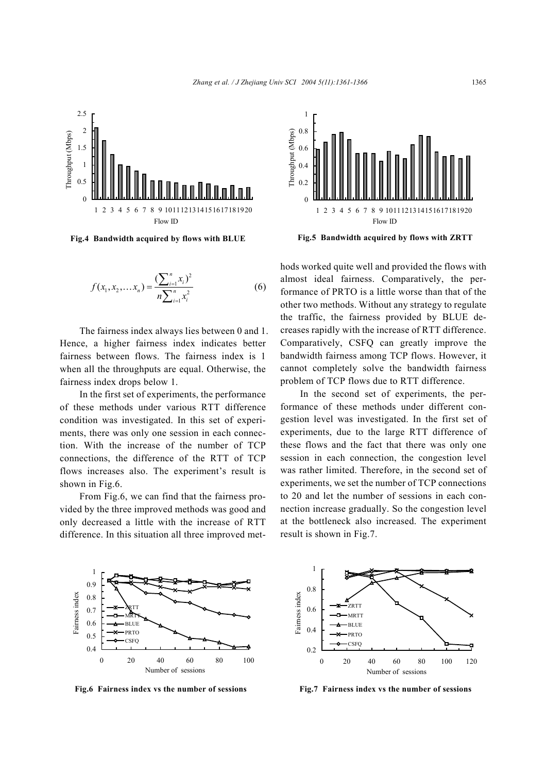

$$
f(x_1, x_2,... x_n) = \frac{\left(\sum_{i=1}^n x_i\right)^2}{n \sum_{i=1}^n x_i^2}
$$
 (6)

The fairness index always lies between 0 and 1. Hence, a higher fairness index indicates better fairness between flows. The fairness index is 1 when all the throughputs are equal. Otherwise, the fairness index drops below 1.

In the first set of experiments, the performance of these methods under various RTT difference condition was investigated. In this set of experiments, there was only one session in each connection. With the increase of the number of TCP connections, the difference of the RTT of TCP flows increases also. The experiment's result is shown in Fig.6.

From Fig.6, we can find that the fairness provided by the three improved methods was good and only decreased a little with the increase of RTT difference. In this situation all three improved met-



**Fig.4 Bandwidth acquired by flows with BLUE Fig.5 Bandwidth acquired by flows with ZRTT**

hods worked quite well and provided the flows with almost ideal fairness. Comparatively, the performance of PRTO is a little worse than that of the other two methods. Without any strategy to regulate the traffic, the fairness provided by BLUE decreases rapidly with the increase of RTT difference. Comparatively, CSFQ can greatly improve the bandwidth fairness among TCP flows. However, it cannot completely solve the bandwidth fairness problem of TCP flows due to RTT difference.

In the second set of experiments, the performance of these methods under different congestion level was investigated. In the first set of experiments, due to the large RTT difference of these flows and the fact that there was only one session in each connection, the congestion level was rather limited. Therefore, in the second set of experiments, we set the number of TCP connections to 20 and let the number of sessions in each connection increase gradually. So the congestion level at the bottleneck also increased. The experiment result is shown in Fig.7.



**Fig.6 Fairness index vs the number of sessions**



**Fig.7 Fairness index vs the number of sessions**